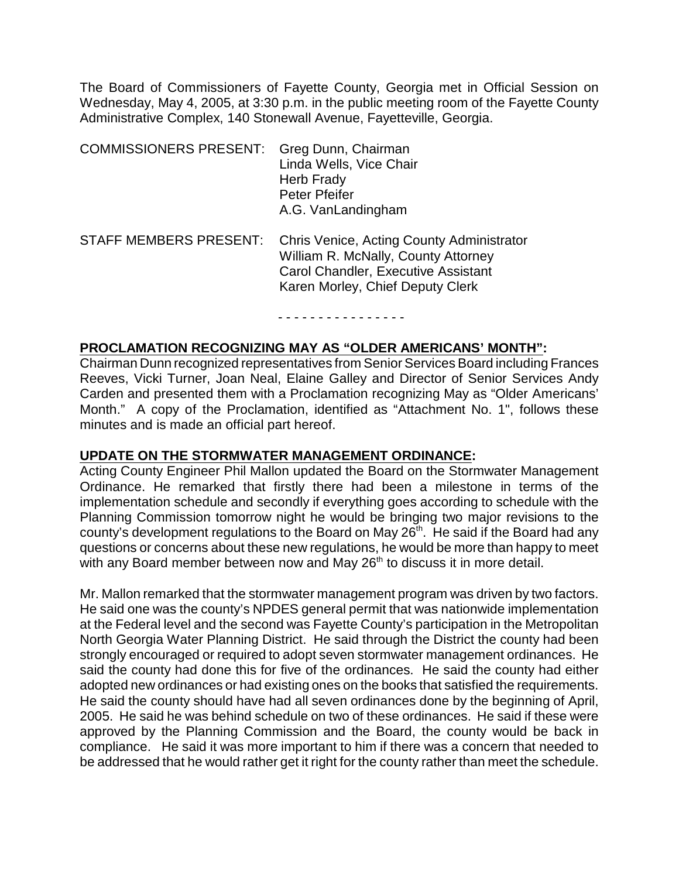The Board of Commissioners of Fayette County, Georgia met in Official Session on Wednesday, May 4, 2005, at 3:30 p.m. in the public meeting room of the Fayette County Administrative Complex, 140 Stonewall Avenue, Fayetteville, Georgia.

| <b>COMMISSIONERS PRESENT:</b> | Greg Dunn, Chairman<br>Linda Wells, Vice Chair<br>Herb Frady<br><b>Peter Pfeifer</b><br>A.G. VanLandingham                                                  |
|-------------------------------|-------------------------------------------------------------------------------------------------------------------------------------------------------------|
| <b>STAFF MEMBERS PRESENT:</b> | Chris Venice, Acting County Administrator<br>William R. McNally, County Attorney<br>Carol Chandler, Executive Assistant<br>Karen Morley, Chief Deputy Clerk |

#### - - - - - - - - - - - - - - - -

### **PROCLAMATION RECOGNIZING MAY AS "OLDER AMERICANS' MONTH":**

Chairman Dunn recognized representatives from Senior Services Board including Frances Reeves, Vicki Turner, Joan Neal, Elaine Galley and Director of Senior Services Andy Carden and presented them with a Proclamation recognizing May as "Older Americans' Month." A copy of the Proclamation, identified as "Attachment No. 1", follows these minutes and is made an official part hereof.

#### **UPDATE ON THE STORMWATER MANAGEMENT ORDINANCE:**

Acting County Engineer Phil Mallon updated the Board on the Stormwater Management Ordinance. He remarked that firstly there had been a milestone in terms of the implementation schedule and secondly if everything goes according to schedule with the Planning Commission tomorrow night he would be bringing two major revisions to the county's development regulations to the Board on May  $26<sup>th</sup>$ . He said if the Board had any questions or concerns about these new regulations, he would be more than happy to meet with any Board member between now and May 26<sup>th</sup> to discuss it in more detail.

Mr. Mallon remarked that the stormwater management program was driven by two factors. He said one was the county's NPDES general permit that was nationwide implementation at the Federal level and the second was Fayette County's participation in the Metropolitan North Georgia Water Planning District. He said through the District the county had been strongly encouraged or required to adopt seven stormwater management ordinances. He said the county had done this for five of the ordinances. He said the county had either adopted new ordinances or had existing ones on the books that satisfied the requirements. He said the county should have had all seven ordinances done by the beginning of April, 2005. He said he was behind schedule on two of these ordinances. He said if these were approved by the Planning Commission and the Board, the county would be back in compliance. He said it was more important to him if there was a concern that needed to be addressed that he would rather get it right for the county rather than meet the schedule.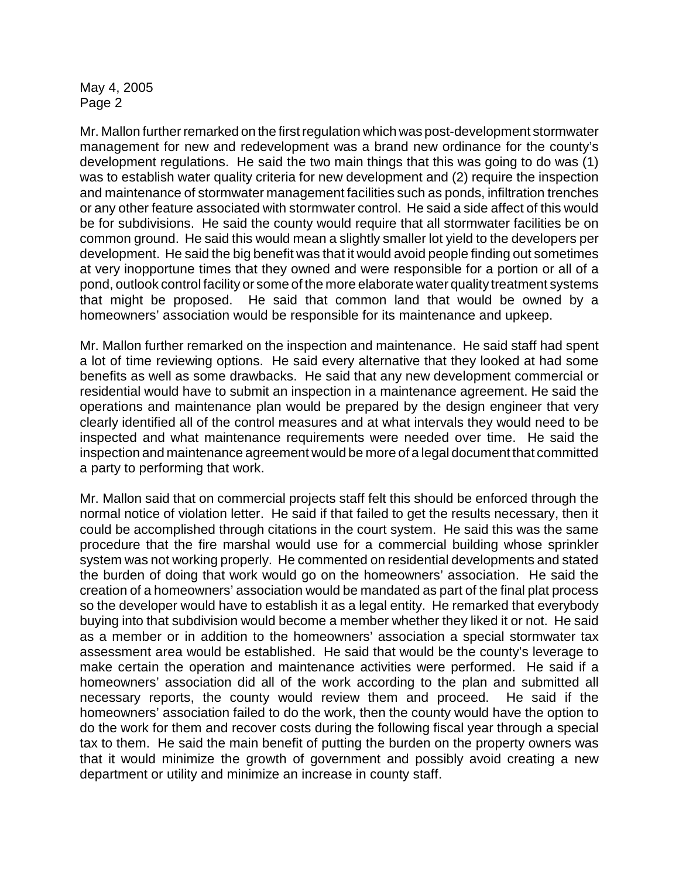Mr. Mallon further remarked on the first regulation which was post-development stormwater management for new and redevelopment was a brand new ordinance for the county's development regulations. He said the two main things that this was going to do was (1) was to establish water quality criteria for new development and (2) require the inspection and maintenance of stormwater management facilities such as ponds, infiltration trenches or any other feature associated with stormwater control. He said a side affect of this would be for subdivisions. He said the county would require that all stormwater facilities be on common ground. He said this would mean a slightly smaller lot yield to the developers per development. He said the big benefit was that it would avoid people finding out sometimes at very inopportune times that they owned and were responsible for a portion or all of a pond, outlook control facility or some of the more elaborate water quality treatment systems that might be proposed. He said that common land that would be owned by a homeowners' association would be responsible for its maintenance and upkeep.

Mr. Mallon further remarked on the inspection and maintenance. He said staff had spent a lot of time reviewing options. He said every alternative that they looked at had some benefits as well as some drawbacks. He said that any new development commercial or residential would have to submit an inspection in a maintenance agreement. He said the operations and maintenance plan would be prepared by the design engineer that very clearly identified all of the control measures and at what intervals they would need to be inspected and what maintenance requirements were needed over time. He said the inspection and maintenance agreement would be more of a legal document that committed a party to performing that work.

Mr. Mallon said that on commercial projects staff felt this should be enforced through the normal notice of violation letter. He said if that failed to get the results necessary, then it could be accomplished through citations in the court system. He said this was the same procedure that the fire marshal would use for a commercial building whose sprinkler system was not working properly. He commented on residential developments and stated the burden of doing that work would go on the homeowners' association. He said the creation of a homeowners' association would be mandated as part of the final plat process so the developer would have to establish it as a legal entity. He remarked that everybody buying into that subdivision would become a member whether they liked it or not. He said as a member or in addition to the homeowners' association a special stormwater tax assessment area would be established. He said that would be the county's leverage to make certain the operation and maintenance activities were performed. He said if a homeowners' association did all of the work according to the plan and submitted all necessary reports, the county would review them and proceed. He said if the homeowners' association failed to do the work, then the county would have the option to do the work for them and recover costs during the following fiscal year through a special tax to them. He said the main benefit of putting the burden on the property owners was that it would minimize the growth of government and possibly avoid creating a new department or utility and minimize an increase in county staff.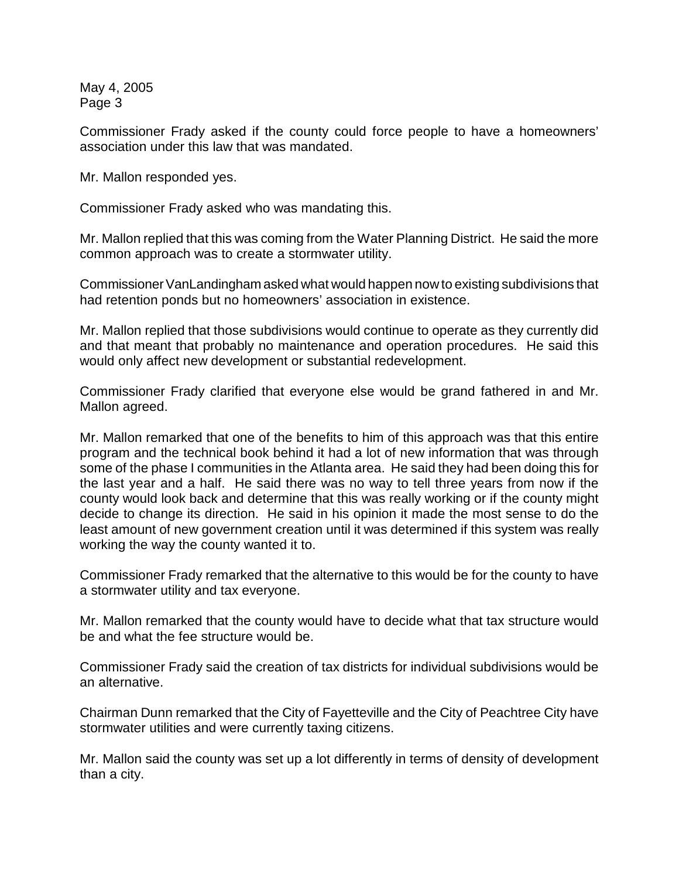Commissioner Frady asked if the county could force people to have a homeowners' association under this law that was mandated.

Mr. Mallon responded yes.

Commissioner Frady asked who was mandating this.

Mr. Mallon replied that this was coming from the Water Planning District. He said the more common approach was to create a stormwater utility.

Commissioner VanLandingham asked what would happen now to existing subdivisions that had retention ponds but no homeowners' association in existence.

Mr. Mallon replied that those subdivisions would continue to operate as they currently did and that meant that probably no maintenance and operation procedures. He said this would only affect new development or substantial redevelopment.

Commissioner Frady clarified that everyone else would be grand fathered in and Mr. Mallon agreed.

Mr. Mallon remarked that one of the benefits to him of this approach was that this entire program and the technical book behind it had a lot of new information that was through some of the phase I communities in the Atlanta area. He said they had been doing this for the last year and a half. He said there was no way to tell three years from now if the county would look back and determine that this was really working or if the county might decide to change its direction. He said in his opinion it made the most sense to do the least amount of new government creation until it was determined if this system was really working the way the county wanted it to.

Commissioner Frady remarked that the alternative to this would be for the county to have a stormwater utility and tax everyone.

Mr. Mallon remarked that the county would have to decide what that tax structure would be and what the fee structure would be.

Commissioner Frady said the creation of tax districts for individual subdivisions would be an alternative.

Chairman Dunn remarked that the City of Fayetteville and the City of Peachtree City have stormwater utilities and were currently taxing citizens.

Mr. Mallon said the county was set up a lot differently in terms of density of development than a city.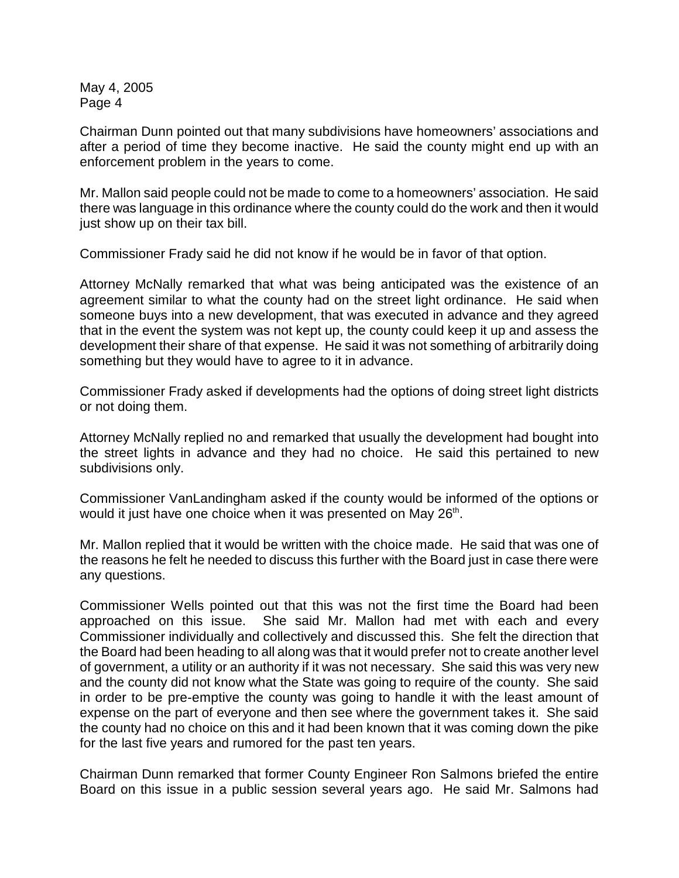Chairman Dunn pointed out that many subdivisions have homeowners' associations and after a period of time they become inactive. He said the county might end up with an enforcement problem in the years to come.

Mr. Mallon said people could not be made to come to a homeowners' association. He said there was language in this ordinance where the county could do the work and then it would just show up on their tax bill.

Commissioner Frady said he did not know if he would be in favor of that option.

Attorney McNally remarked that what was being anticipated was the existence of an agreement similar to what the county had on the street light ordinance. He said when someone buys into a new development, that was executed in advance and they agreed that in the event the system was not kept up, the county could keep it up and assess the development their share of that expense. He said it was not something of arbitrarily doing something but they would have to agree to it in advance.

Commissioner Frady asked if developments had the options of doing street light districts or not doing them.

Attorney McNally replied no and remarked that usually the development had bought into the street lights in advance and they had no choice. He said this pertained to new subdivisions only.

Commissioner VanLandingham asked if the county would be informed of the options or would it just have one choice when it was presented on May 26<sup>th</sup>.

Mr. Mallon replied that it would be written with the choice made. He said that was one of the reasons he felt he needed to discuss this further with the Board just in case there were any questions.

Commissioner Wells pointed out that this was not the first time the Board had been approached on this issue. She said Mr. Mallon had met with each and every Commissioner individually and collectively and discussed this. She felt the direction that the Board had been heading to all along was that it would prefer not to create another level of government, a utility or an authority if it was not necessary. She said this was very new and the county did not know what the State was going to require of the county. She said in order to be pre-emptive the county was going to handle it with the least amount of expense on the part of everyone and then see where the government takes it. She said the county had no choice on this and it had been known that it was coming down the pike for the last five years and rumored for the past ten years.

Chairman Dunn remarked that former County Engineer Ron Salmons briefed the entire Board on this issue in a public session several years ago. He said Mr. Salmons had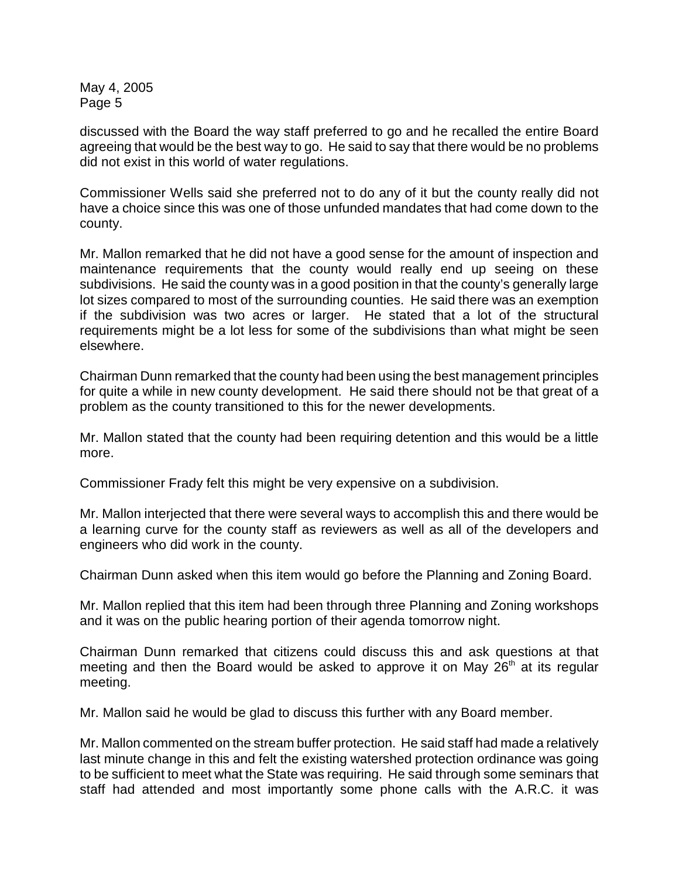discussed with the Board the way staff preferred to go and he recalled the entire Board agreeing that would be the best way to go. He said to say that there would be no problems did not exist in this world of water regulations.

Commissioner Wells said she preferred not to do any of it but the county really did not have a choice since this was one of those unfunded mandates that had come down to the county.

Mr. Mallon remarked that he did not have a good sense for the amount of inspection and maintenance requirements that the county would really end up seeing on these subdivisions. He said the county was in a good position in that the county's generally large lot sizes compared to most of the surrounding counties. He said there was an exemption if the subdivision was two acres or larger. He stated that a lot of the structural requirements might be a lot less for some of the subdivisions than what might be seen elsewhere.

Chairman Dunn remarked that the county had been using the best management principles for quite a while in new county development. He said there should not be that great of a problem as the county transitioned to this for the newer developments.

Mr. Mallon stated that the county had been requiring detention and this would be a little more.

Commissioner Frady felt this might be very expensive on a subdivision.

Mr. Mallon interjected that there were several ways to accomplish this and there would be a learning curve for the county staff as reviewers as well as all of the developers and engineers who did work in the county.

Chairman Dunn asked when this item would go before the Planning and Zoning Board.

Mr. Mallon replied that this item had been through three Planning and Zoning workshops and it was on the public hearing portion of their agenda tomorrow night.

Chairman Dunn remarked that citizens could discuss this and ask questions at that meeting and then the Board would be asked to approve it on May 26<sup>th</sup> at its regular meeting.

Mr. Mallon said he would be glad to discuss this further with any Board member.

Mr. Mallon commented on the stream buffer protection. He said staff had made a relatively last minute change in this and felt the existing watershed protection ordinance was going to be sufficient to meet what the State was requiring. He said through some seminars that staff had attended and most importantly some phone calls with the A.R.C. it was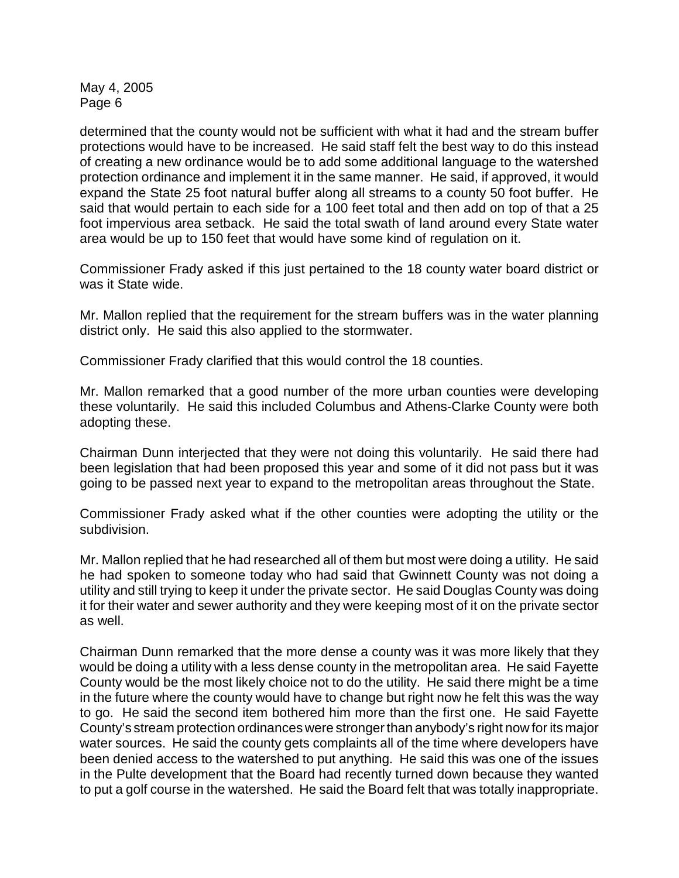determined that the county would not be sufficient with what it had and the stream buffer protections would have to be increased. He said staff felt the best way to do this instead of creating a new ordinance would be to add some additional language to the watershed protection ordinance and implement it in the same manner. He said, if approved, it would expand the State 25 foot natural buffer along all streams to a county 50 foot buffer. He said that would pertain to each side for a 100 feet total and then add on top of that a 25 foot impervious area setback. He said the total swath of land around every State water area would be up to 150 feet that would have some kind of regulation on it.

Commissioner Frady asked if this just pertained to the 18 county water board district or was it State wide.

Mr. Mallon replied that the requirement for the stream buffers was in the water planning district only. He said this also applied to the stormwater.

Commissioner Frady clarified that this would control the 18 counties.

Mr. Mallon remarked that a good number of the more urban counties were developing these voluntarily. He said this included Columbus and Athens-Clarke County were both adopting these.

Chairman Dunn interjected that they were not doing this voluntarily. He said there had been legislation that had been proposed this year and some of it did not pass but it was going to be passed next year to expand to the metropolitan areas throughout the State.

Commissioner Frady asked what if the other counties were adopting the utility or the subdivision.

Mr. Mallon replied that he had researched all of them but most were doing a utility. He said he had spoken to someone today who had said that Gwinnett County was not doing a utility and still trying to keep it under the private sector. He said Douglas County was doing it for their water and sewer authority and they were keeping most of it on the private sector as well.

Chairman Dunn remarked that the more dense a county was it was more likely that they would be doing a utility with a less dense county in the metropolitan area. He said Fayette County would be the most likely choice not to do the utility. He said there might be a time in the future where the county would have to change but right now he felt this was the way to go. He said the second item bothered him more than the first one. He said Fayette County's stream protection ordinances were strongerthan anybody's right now for its major water sources. He said the county gets complaints all of the time where developers have been denied access to the watershed to put anything. He said this was one of the issues in the Pulte development that the Board had recently turned down because they wanted to put a golf course in the watershed. He said the Board felt that was totally inappropriate.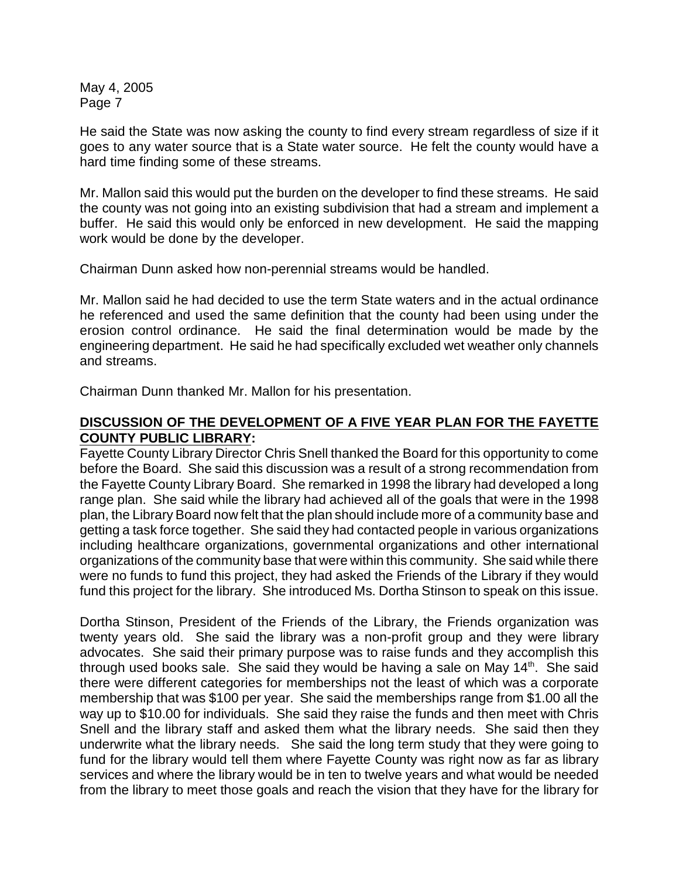He said the State was now asking the county to find every stream regardless of size if it goes to any water source that is a State water source. He felt the county would have a hard time finding some of these streams.

Mr. Mallon said this would put the burden on the developer to find these streams. He said the county was not going into an existing subdivision that had a stream and implement a buffer. He said this would only be enforced in new development. He said the mapping work would be done by the developer.

Chairman Dunn asked how non-perennial streams would be handled.

Mr. Mallon said he had decided to use the term State waters and in the actual ordinance he referenced and used the same definition that the county had been using under the erosion control ordinance. He said the final determination would be made by the engineering department. He said he had specifically excluded wet weather only channels and streams.

Chairman Dunn thanked Mr. Mallon for his presentation.

# **DISCUSSION OF THE DEVELOPMENT OF A FIVE YEAR PLAN FOR THE FAYETTE COUNTY PUBLIC LIBRARY:**

Fayette County Library Director Chris Snell thanked the Board for this opportunity to come before the Board. She said this discussion was a result of a strong recommendation from the Fayette County Library Board. She remarked in 1998 the library had developed a long range plan. She said while the library had achieved all of the goals that were in the 1998 plan, the Library Board now felt that the plan should include more of a community base and getting a task force together. She said they had contacted people in various organizations including healthcare organizations, governmental organizations and other international organizations of the community base that were within this community. She said while there were no funds to fund this project, they had asked the Friends of the Library if they would fund this project for the library. She introduced Ms. Dortha Stinson to speak on this issue.

Dortha Stinson, President of the Friends of the Library, the Friends organization was twenty years old. She said the library was a non-profit group and they were library advocates. She said their primary purpose was to raise funds and they accomplish this through used books sale. She said they would be having a sale on May  $14<sup>th</sup>$ . She said there were different categories for memberships not the least of which was a corporate membership that was \$100 per year. She said the memberships range from \$1.00 all the way up to \$10.00 for individuals. She said they raise the funds and then meet with Chris Snell and the library staff and asked them what the library needs. She said then they underwrite what the library needs. She said the long term study that they were going to fund for the library would tell them where Fayette County was right now as far as library services and where the library would be in ten to twelve years and what would be needed from the library to meet those goals and reach the vision that they have for the library for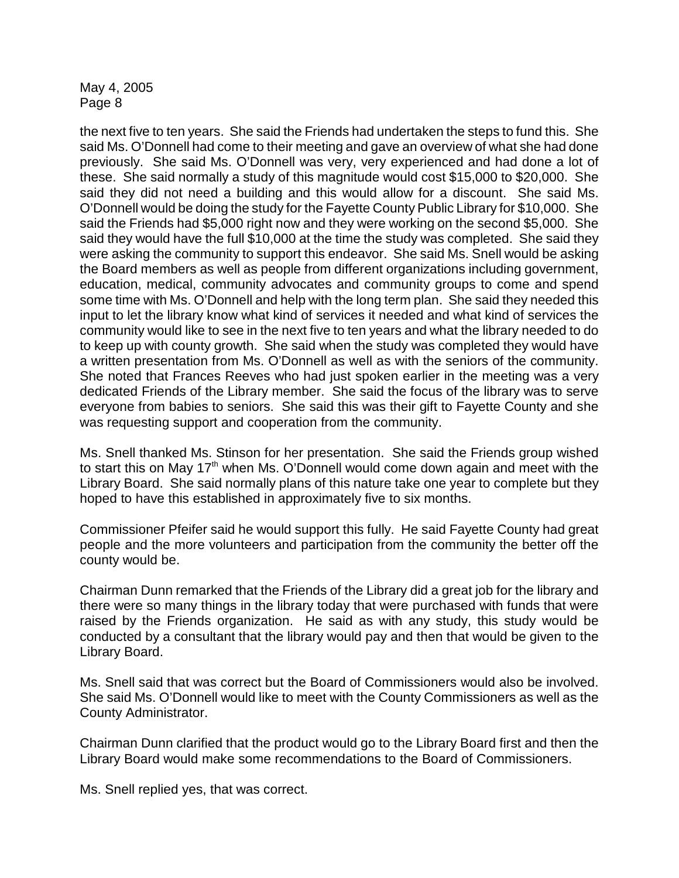the next five to ten years. She said the Friends had undertaken the steps to fund this. She said Ms. O'Donnell had come to their meeting and gave an overview of what she had done previously. She said Ms. O'Donnell was very, very experienced and had done a lot of these. She said normally a study of this magnitude would cost \$15,000 to \$20,000. She said they did not need a building and this would allow for a discount. She said Ms. O'Donnell would be doing the study for the Fayette County Public Library for \$10,000. She said the Friends had \$5,000 right now and they were working on the second \$5,000. She said they would have the full \$10,000 at the time the study was completed. She said they were asking the community to support this endeavor. She said Ms. Snell would be asking the Board members as well as people from different organizations including government, education, medical, community advocates and community groups to come and spend some time with Ms. O'Donnell and help with the long term plan. She said they needed this input to let the library know what kind of services it needed and what kind of services the community would like to see in the next five to ten years and what the library needed to do to keep up with county growth. She said when the study was completed they would have a written presentation from Ms. O'Donnell as well as with the seniors of the community. She noted that Frances Reeves who had just spoken earlier in the meeting was a very dedicated Friends of the Library member. She said the focus of the library was to serve everyone from babies to seniors. She said this was their gift to Fayette County and she was requesting support and cooperation from the community.

Ms. Snell thanked Ms. Stinson for her presentation. She said the Friends group wished to start this on May  $17<sup>th</sup>$  when Ms. O'Donnell would come down again and meet with the Library Board. She said normally plans of this nature take one year to complete but they hoped to have this established in approximately five to six months.

Commissioner Pfeifer said he would support this fully. He said Fayette County had great people and the more volunteers and participation from the community the better off the county would be.

Chairman Dunn remarked that the Friends of the Library did a great job for the library and there were so many things in the library today that were purchased with funds that were raised by the Friends organization. He said as with any study, this study would be conducted by a consultant that the library would pay and then that would be given to the Library Board.

Ms. Snell said that was correct but the Board of Commissioners would also be involved. She said Ms. O'Donnell would like to meet with the County Commissioners as well as the County Administrator.

Chairman Dunn clarified that the product would go to the Library Board first and then the Library Board would make some recommendations to the Board of Commissioners.

Ms. Snell replied yes, that was correct.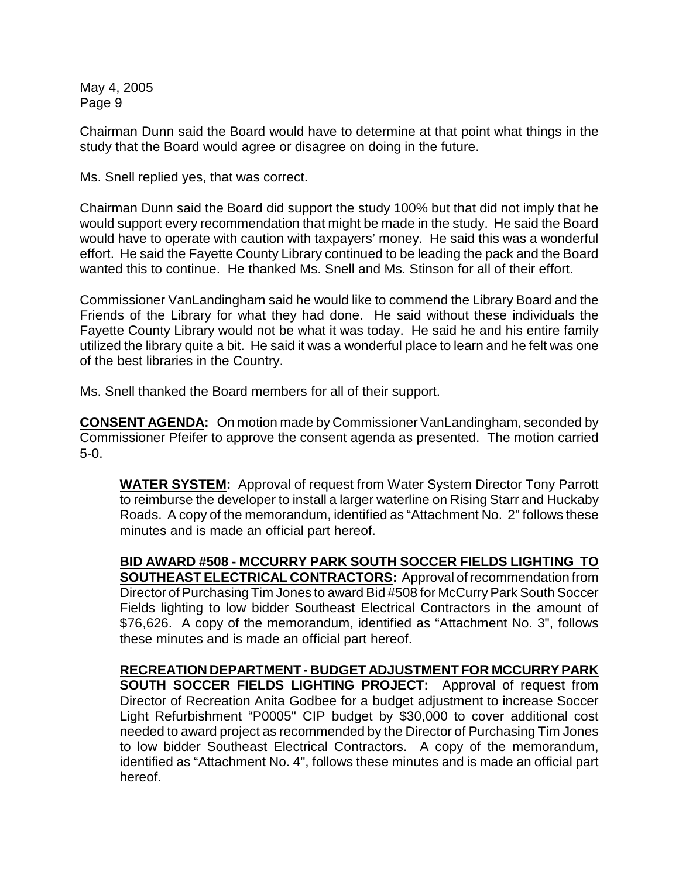Chairman Dunn said the Board would have to determine at that point what things in the study that the Board would agree or disagree on doing in the future.

Ms. Snell replied yes, that was correct.

Chairman Dunn said the Board did support the study 100% but that did not imply that he would support every recommendation that might be made in the study. He said the Board would have to operate with caution with taxpayers' money. He said this was a wonderful effort. He said the Fayette County Library continued to be leading the pack and the Board wanted this to continue. He thanked Ms. Snell and Ms. Stinson for all of their effort.

Commissioner VanLandingham said he would like to commend the Library Board and the Friends of the Library for what they had done. He said without these individuals the Fayette County Library would not be what it was today. He said he and his entire family utilized the library quite a bit. He said it was a wonderful place to learn and he felt was one of the best libraries in the Country.

Ms. Snell thanked the Board members for all of their support.

**CONSENT AGENDA:** On motion made by Commissioner VanLandingham, seconded by Commissioner Pfeifer to approve the consent agenda as presented. The motion carried 5-0.

**WATER SYSTEM:** Approval of request from Water System Director Tony Parrott to reimburse the developer to install a larger waterline on Rising Starr and Huckaby Roads. A copy of the memorandum, identified as "Attachment No. 2" follows these minutes and is made an official part hereof.

**BID AWARD #508 - MCCURRY PARK SOUTH SOCCER FIELDS LIGHTING TO SOUTHEAST ELECTRICAL CONTRACTORS:** Approval of recommendation from Director of Purchasing Tim Jones to award Bid #508 for McCurry Park South Soccer Fields lighting to low bidder Southeast Electrical Contractors in the amount of \$76,626. A copy of the memorandum, identified as "Attachment No. 3", follows these minutes and is made an official part hereof.

**RECREATION DEPARTMENT - BUDGET ADJUSTMENT FOR MCCURRY PARK SOUTH SOCCER FIELDS LIGHTING PROJECT:** Approval of request from Director of Recreation Anita Godbee for a budget adjustment to increase Soccer Light Refurbishment "P0005" CIP budget by \$30,000 to cover additional cost needed to award project as recommended by the Director of Purchasing Tim Jones to low bidder Southeast Electrical Contractors. A copy of the memorandum, identified as "Attachment No. 4", follows these minutes and is made an official part hereof.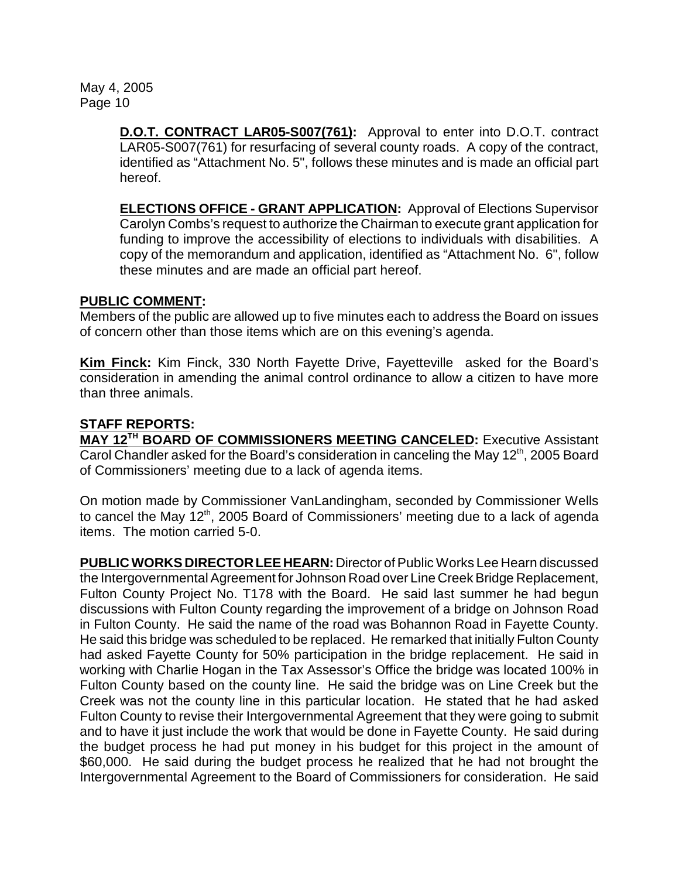> **D.O.T. CONTRACT LAR05-S007(761):** Approval to enter into D.O.T. contract LAR05-S007(761) for resurfacing of several county roads. A copy of the contract, identified as "Attachment No. 5", follows these minutes and is made an official part hereof.

> **ELECTIONS OFFICE - GRANT APPLICATION:** Approval of Elections Supervisor Carolyn Combs's request to authorize the Chairman to execute grant application for funding to improve the accessibility of elections to individuals with disabilities. A copy of the memorandum and application, identified as "Attachment No. 6", follow these minutes and are made an official part hereof.

### **PUBLIC COMMENT:**

Members of the public are allowed up to five minutes each to address the Board on issues of concern other than those items which are on this evening's agenda.

**Kim Finck:** Kim Finck, 330 North Fayette Drive, Fayetteville asked for the Board's consideration in amending the animal control ordinance to allow a citizen to have more than three animals.

# **STAFF REPORTS:**

**MAY 12<sup>TH</sup> BOARD OF COMMISSIONERS MEETING CANCELED:** Executive Assistant Carol Chandler asked for the Board's consideration in canceling the May 12<sup>th</sup>, 2005 Board of Commissioners' meeting due to a lack of agenda items.

On motion made by Commissioner VanLandingham, seconded by Commissioner Wells to cancel the May  $12<sup>th</sup>$ , 2005 Board of Commissioners' meeting due to a lack of agenda items. The motion carried 5-0.

**PUBLIC WORKS DIRECTOR LEE HEARN:** Director of Public Works Lee Hearn discussed the Intergovernmental Agreement for Johnson Road over Line Creek Bridge Replacement, Fulton County Project No. T178 with the Board. He said last summer he had begun discussions with Fulton County regarding the improvement of a bridge on Johnson Road in Fulton County. He said the name of the road was Bohannon Road in Fayette County. He said this bridge was scheduled to be replaced. He remarked that initially Fulton County had asked Fayette County for 50% participation in the bridge replacement. He said in working with Charlie Hogan in the Tax Assessor's Office the bridge was located 100% in Fulton County based on the county line. He said the bridge was on Line Creek but the Creek was not the county line in this particular location. He stated that he had asked Fulton County to revise their Intergovernmental Agreement that they were going to submit and to have it just include the work that would be done in Fayette County. He said during the budget process he had put money in his budget for this project in the amount of \$60,000. He said during the budget process he realized that he had not brought the Intergovernmental Agreement to the Board of Commissioners for consideration. He said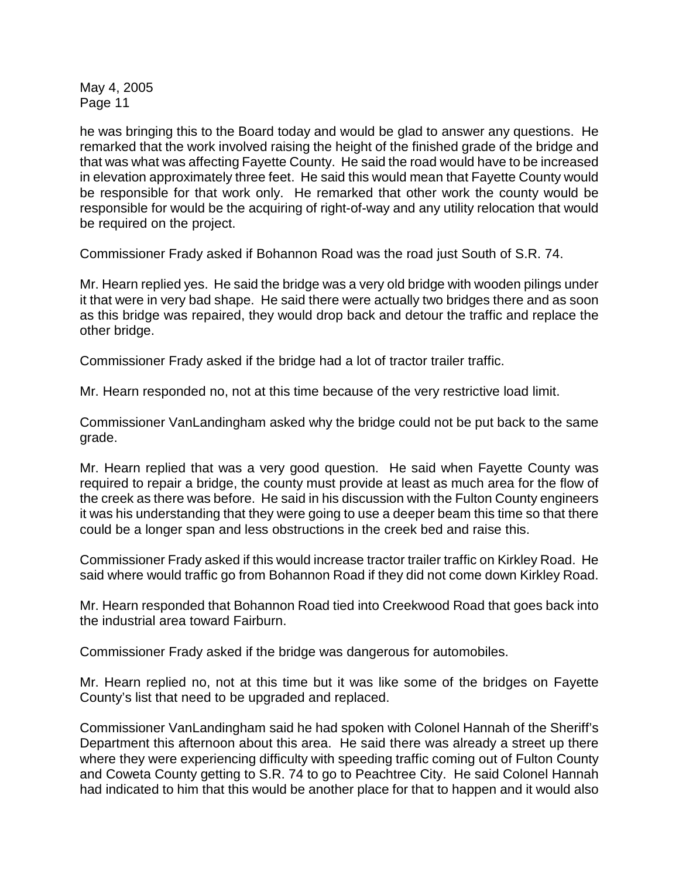he was bringing this to the Board today and would be glad to answer any questions. He remarked that the work involved raising the height of the finished grade of the bridge and that was what was affecting Fayette County. He said the road would have to be increased in elevation approximately three feet. He said this would mean that Fayette County would be responsible for that work only. He remarked that other work the county would be responsible for would be the acquiring of right-of-way and any utility relocation that would be required on the project.

Commissioner Frady asked if Bohannon Road was the road just South of S.R. 74.

Mr. Hearn replied yes. He said the bridge was a very old bridge with wooden pilings under it that were in very bad shape. He said there were actually two bridges there and as soon as this bridge was repaired, they would drop back and detour the traffic and replace the other bridge.

Commissioner Frady asked if the bridge had a lot of tractor trailer traffic.

Mr. Hearn responded no, not at this time because of the very restrictive load limit.

Commissioner VanLandingham asked why the bridge could not be put back to the same grade.

Mr. Hearn replied that was a very good question. He said when Fayette County was required to repair a bridge, the county must provide at least as much area for the flow of the creek as there was before. He said in his discussion with the Fulton County engineers it was his understanding that they were going to use a deeper beam this time so that there could be a longer span and less obstructions in the creek bed and raise this.

Commissioner Frady asked if this would increase tractor trailer traffic on Kirkley Road. He said where would traffic go from Bohannon Road if they did not come down Kirkley Road.

Mr. Hearn responded that Bohannon Road tied into Creekwood Road that goes back into the industrial area toward Fairburn.

Commissioner Frady asked if the bridge was dangerous for automobiles.

Mr. Hearn replied no, not at this time but it was like some of the bridges on Fayette County's list that need to be upgraded and replaced.

Commissioner VanLandingham said he had spoken with Colonel Hannah of the Sheriff's Department this afternoon about this area. He said there was already a street up there where they were experiencing difficulty with speeding traffic coming out of Fulton County and Coweta County getting to S.R. 74 to go to Peachtree City. He said Colonel Hannah had indicated to him that this would be another place for that to happen and it would also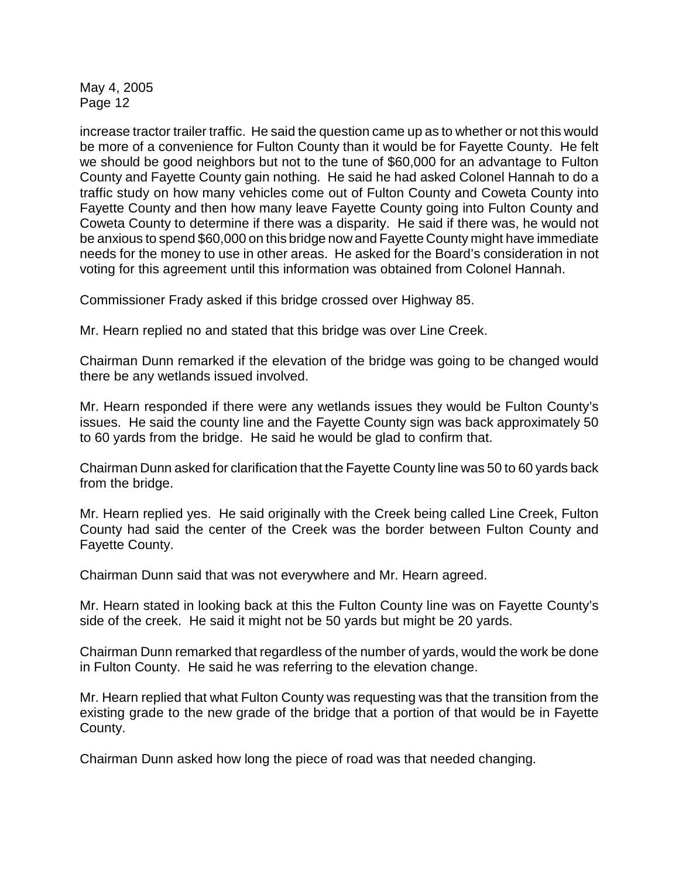increase tractor trailer traffic. He said the question came up as to whether or not this would be more of a convenience for Fulton County than it would be for Fayette County. He felt we should be good neighbors but not to the tune of \$60,000 for an advantage to Fulton County and Fayette County gain nothing. He said he had asked Colonel Hannah to do a traffic study on how many vehicles come out of Fulton County and Coweta County into Fayette County and then how many leave Fayette County going into Fulton County and Coweta County to determine if there was a disparity. He said if there was, he would not be anxious to spend \$60,000 on this bridge now and Fayette County might have immediate needs for the money to use in other areas. He asked for the Board's consideration in not voting for this agreement until this information was obtained from Colonel Hannah.

Commissioner Frady asked if this bridge crossed over Highway 85.

Mr. Hearn replied no and stated that this bridge was over Line Creek.

Chairman Dunn remarked if the elevation of the bridge was going to be changed would there be any wetlands issued involved.

Mr. Hearn responded if there were any wetlands issues they would be Fulton County's issues. He said the county line and the Fayette County sign was back approximately 50 to 60 yards from the bridge. He said he would be glad to confirm that.

Chairman Dunn asked for clarification that the Fayette County line was 50 to 60 yards back from the bridge.

Mr. Hearn replied yes. He said originally with the Creek being called Line Creek, Fulton County had said the center of the Creek was the border between Fulton County and Fayette County.

Chairman Dunn said that was not everywhere and Mr. Hearn agreed.

Mr. Hearn stated in looking back at this the Fulton County line was on Fayette County's side of the creek. He said it might not be 50 yards but might be 20 yards.

Chairman Dunn remarked that regardless of the number of yards, would the work be done in Fulton County. He said he was referring to the elevation change.

Mr. Hearn replied that what Fulton County was requesting was that the transition from the existing grade to the new grade of the bridge that a portion of that would be in Fayette County.

Chairman Dunn asked how long the piece of road was that needed changing.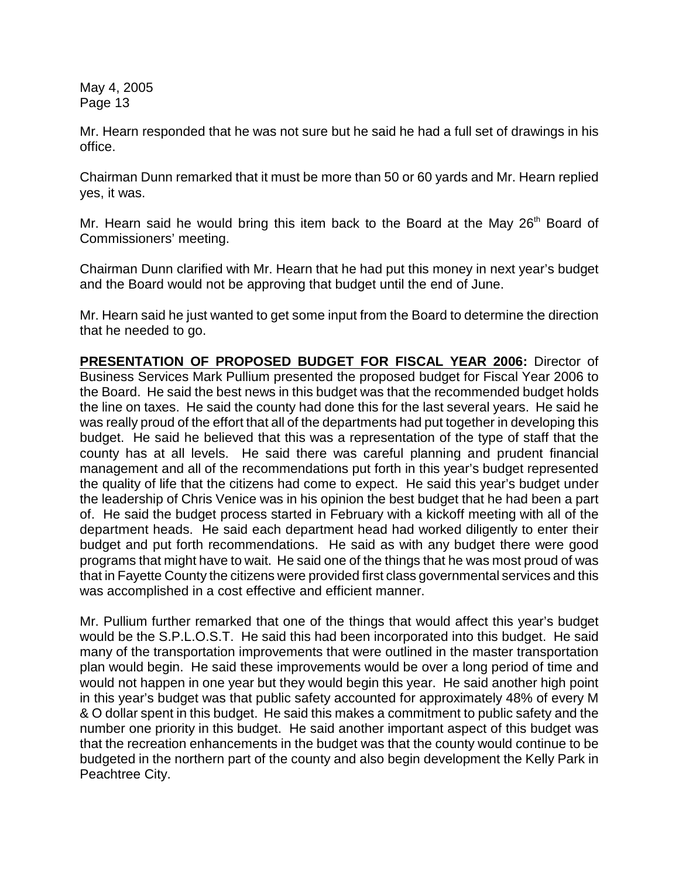Mr. Hearn responded that he was not sure but he said he had a full set of drawings in his office.

Chairman Dunn remarked that it must be more than 50 or 60 yards and Mr. Hearn replied yes, it was.

Mr. Hearn said he would bring this item back to the Board at the May 26<sup>th</sup> Board of Commissioners' meeting.

Chairman Dunn clarified with Mr. Hearn that he had put this money in next year's budget and the Board would not be approving that budget until the end of June.

Mr. Hearn said he just wanted to get some input from the Board to determine the direction that he needed to go.

**PRESENTATION OF PROPOSED BUDGET FOR FISCAL YEAR 2006:** Director of Business Services Mark Pullium presented the proposed budget for Fiscal Year 2006 to the Board. He said the best news in this budget was that the recommended budget holds the line on taxes. He said the county had done this for the last several years. He said he was really proud of the effort that all of the departments had put together in developing this budget. He said he believed that this was a representation of the type of staff that the county has at all levels. He said there was careful planning and prudent financial management and all of the recommendations put forth in this year's budget represented the quality of life that the citizens had come to expect. He said this year's budget under the leadership of Chris Venice was in his opinion the best budget that he had been a part of. He said the budget process started in February with a kickoff meeting with all of the department heads. He said each department head had worked diligently to enter their budget and put forth recommendations. He said as with any budget there were good programs that might have to wait. He said one of the things that he was most proud of was that in Fayette County the citizens were provided first class governmental services and this was accomplished in a cost effective and efficient manner.

Mr. Pullium further remarked that one of the things that would affect this year's budget would be the S.P.L.O.S.T. He said this had been incorporated into this budget. He said many of the transportation improvements that were outlined in the master transportation plan would begin. He said these improvements would be over a long period of time and would not happen in one year but they would begin this year. He said another high point in this year's budget was that public safety accounted for approximately 48% of every M & O dollar spent in this budget. He said this makes a commitment to public safety and the number one priority in this budget. He said another important aspect of this budget was that the recreation enhancements in the budget was that the county would continue to be budgeted in the northern part of the county and also begin development the Kelly Park in Peachtree City.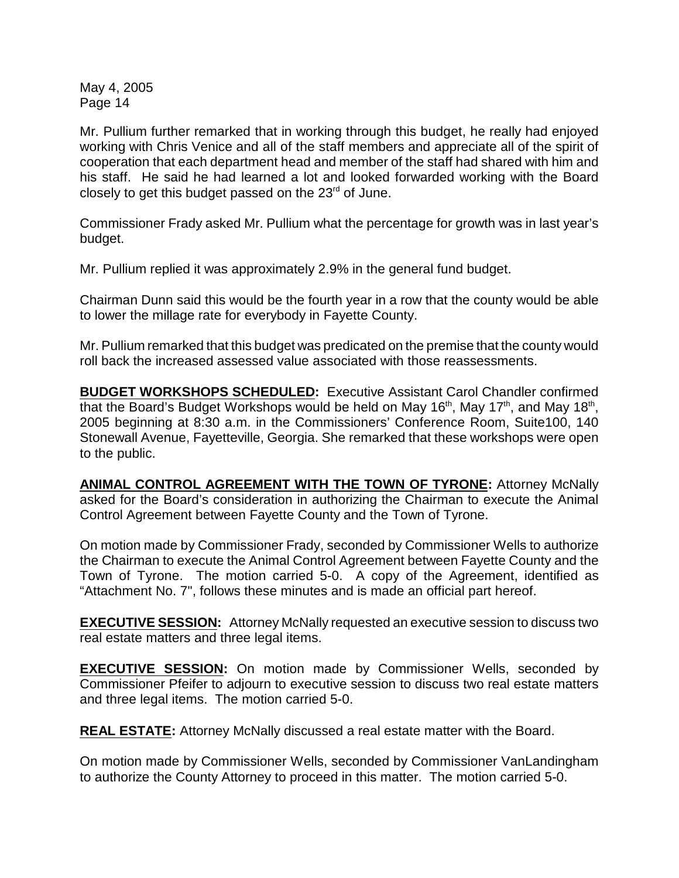Mr. Pullium further remarked that in working through this budget, he really had enjoyed working with Chris Venice and all of the staff members and appreciate all of the spirit of cooperation that each department head and member of the staff had shared with him and his staff. He said he had learned a lot and looked forwarded working with the Board closely to get this budget passed on the 23 $^{\text{rd}}$  of June.

Commissioner Frady asked Mr. Pullium what the percentage for growth was in last year's budget.

Mr. Pullium replied it was approximately 2.9% in the general fund budget.

Chairman Dunn said this would be the fourth year in a row that the county would be able to lower the millage rate for everybody in Fayette County.

Mr. Pullium remarked that this budget was predicated on the premise that the county would roll back the increased assessed value associated with those reassessments.

**BUDGET WORKSHOPS SCHEDULED:** Executive Assistant Carol Chandler confirmed that the Board's Budget Workshops would be held on May 16<sup>th</sup>, May 17<sup>th</sup>, and May 18<sup>th</sup>, 2005 beginning at 8:30 a.m. in the Commissioners' Conference Room, Suite100, 140 Stonewall Avenue, Fayetteville, Georgia. She remarked that these workshops were open to the public.

**ANIMAL CONTROL AGREEMENT WITH THE TOWN OF TYRONE:** Attorney McNally asked for the Board's consideration in authorizing the Chairman to execute the Animal Control Agreement between Fayette County and the Town of Tyrone.

On motion made by Commissioner Frady, seconded by Commissioner Wells to authorize the Chairman to execute the Animal Control Agreement between Fayette County and the Town of Tyrone. The motion carried 5-0. A copy of the Agreement, identified as "Attachment No. 7", follows these minutes and is made an official part hereof.

**EXECUTIVE SESSION:** Attorney McNally requested an executive session to discuss two real estate matters and three legal items.

**EXECUTIVE SESSION:** On motion made by Commissioner Wells, seconded by Commissioner Pfeifer to adjourn to executive session to discuss two real estate matters and three legal items. The motion carried 5-0.

**REAL ESTATE:** Attorney McNally discussed a real estate matter with the Board.

On motion made by Commissioner Wells, seconded by Commissioner VanLandingham to authorize the County Attorney to proceed in this matter. The motion carried 5-0.